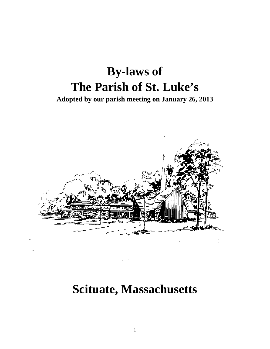# **By-laws of The Parish of St. Luke's**

### **Adopted by our parish meeting on January 26, 2013**



# **Scituate, Massachusetts**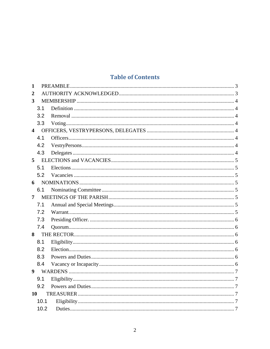### **Table of Contents**

| 1              |      |  |
|----------------|------|--|
| 2              |      |  |
| 3              |      |  |
|                | 3.1  |  |
|                | 3.2  |  |
|                | 3.3  |  |
|                |      |  |
|                | 4.1  |  |
|                | 4.2  |  |
|                | 4.3  |  |
| $5^{\circ}$    |      |  |
|                | 5.1  |  |
|                | 5.2  |  |
| 6              |      |  |
|                | 6.1  |  |
| $\overline{7}$ |      |  |
|                | 7.1  |  |
|                | 7.2  |  |
|                | 7.3  |  |
|                | 7.4  |  |
| 8.             |      |  |
|                | 8.1  |  |
|                | 8.2  |  |
|                | 8.3  |  |
|                | 8.4  |  |
| 9 <sup>°</sup> |      |  |
|                | 9.1  |  |
|                | 9.2  |  |
| 10             |      |  |
|                | 10.1 |  |
|                | 10.2 |  |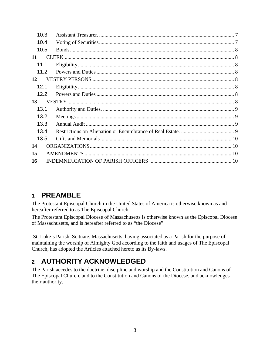| 10.3 |  |
|------|--|
| 10.4 |  |
| 10.5 |  |
| 11   |  |
| 11.1 |  |
| 11.2 |  |
| 12   |  |
| 12.1 |  |
| 12.2 |  |
| 13   |  |
| 13.1 |  |
| 13.2 |  |
| 13.3 |  |
| 13.4 |  |
| 13.5 |  |
| 14   |  |
| 15   |  |
| 16   |  |

### **1 PREAMBLE**

The Protestant Episcopal Church in the United States of America is otherwise known as and hereafter referred to as The Episcopal Church.

The Protestant Episcopal Diocese of Massachusetts is otherwise known as the Episcopal Diocese of Massachusetts, and is hereafter referred to as "the Diocese".

St. Luke's Parish, Scituate, Massachusetts, having associated as a Parish for the purpose of maintaining the worship of Almighty God according to the faith and usages of The Episcopal Church, has adopted the Articles attached hereto as its By-laws.

## **2 AUTHORITY ACKNOWLEDGED**

The Parish accedes to the doctrine, discipline and worship and the Constitution and Canons of The Episcopal Church, and to the Constitution and Canons of the Diocese, and acknowledges their authority.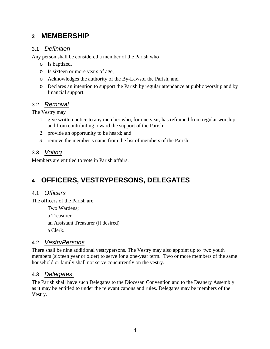### **3 MEMBERSHIP**

### 3.1 *Definition*

Any person shall be considered a member of the Parish who

- o Is baptized,
- o Is sixteen or more years of age,
- o Acknowledges the authority of the By-Lawsof the Parish, and
- o Declares an intention to support the Parish by regular attendance at public worship and by financial support.

#### 3.2 *Removal*

The Vestry may

- 1. give written notice to any member who, for one year, has refrained from regular worship, and from contributing toward the support of the Parish;
- 2. provide an opportunity to be heard; and
- *3.* remove the member's name from the list of members of the Parish.

### 3.3 *Voting*

Members are entitled to vote in Parish affairs.

# **4 OFFICERS, VESTRYPERSONS, DELEGATES**

### 4.1 *Officers*

The officers of the Parish are Two Wardens;

a Treasurer an Assistant Treasurer (if desired) a Clerk.

### 4.2 *VestryPersons*

There shall be nine additional vestrypersons. The Vestry may also appoint up to two youth members (sixteen year or older) to serve for a one-year term. Two or more members of the same household or family shall not serve concurrently on the vestry.

#### 4.3 *Delegates*

The Parish shall have such Delegates to the Diocesan Convention and to the Deanery Assembly as it may be entitled to under the relevant canons and rules. Delegates may be members of the Vestry.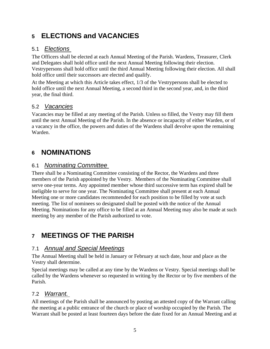# **5 ELECTIONS and VACANCIES**

### 5.1 *Elections*

The Officers shall be elected at each Annual Meeting of the Parish. Wardens, Treasurer, Clerk and Delegates shall hold office until the next Annual Meeting following their election. Vestrypersons shall hold office until the third Annual Meeting following their election. All shall hold office until their successors are elected and qualify.

At the Meeting at which this Article takes effect, 1/3 of the Vestrypersons shall be elected to hold office until the next Annual Meeting, a second third in the second year, and, in the third year, the final third.

### 5.2 *Vacancies*

Vacancies may be filled at any meeting of the Parish. Unless so filled, the Vestry may fill them until the next Annual Meeting of the Parish. In the absence or incapacity of either Warden, or of a vacancy in the office, the powers and duties of the Wardens shall devolve upon the remaining Warden.

### **6 NOMINATIONS**

### 6.1 *Nominating Committee*

There shall be a Nominating Committee consisting of the Rector, the Wardens and three members of the Parish appointed by the Vestry. Members of the Nominating Committee shall serve one-year terms. Any appointed member whose third successive term has expired shall be ineligible to serve for one year. The Nominating Committee shall present at each Annual Meeting one or more candidates recommended for each position to be filled by vote at such meeting. The list of nominees so designated shall be posted with the notice of the Annual Meeting. Nominations for any office to be filled at an Annual Meeting may also be made at such meeting by any member of the Parish authorized to vote.

### **7 MEETINGS OF THE PARISH**

### 7.1 *Annual and Special Meetings*

The Annual Meeting shall be held in January or February at such date, hour and place as the Vestry shall determine.

Special meetings may be called at any time by the Wardens or Vestry. Special meetings shall be called by the Wardens whenever so requested in writing by the Rector or by five members of the Parish.

### 7.2 *Warrant.*

All meetings of the Parish shall be announced by posting an attested copy of the Warrant calling the meeting at a public entrance of the church or place of worship occupied by the Parish. The Warrant shall be posted at least fourteen days before the date fixed for an Annual Meeting and at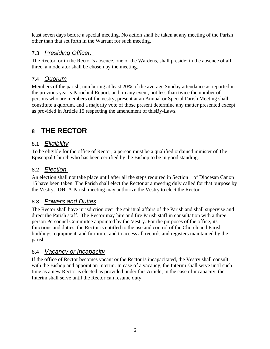least seven days before a special meeting. No action shall be taken at any meeting of the Parish other than that set forth in the Warrant for such meeting.

### 7.3 *Presiding Officer.*

The Rector, or in the Rector's absence, one of the Wardens, shall preside; in the absence of all three, a moderator shall be chosen by the meeting.

### 7.4 *Quorum*

Members of the parish, numbering at least 20% of the average Sunday attendance as reported in the previous year's Parochial Report, and, in any event, not less than twice the number of persons who are members of the vestry, present at an Annual or Special Parish Meeting shall constitute a quorum, and a majority vote of those present determine any matter presented except as provided in Article 15 respecting the amendment of thisBy-Laws.

### **8 THE RECTOR**

### 8.1 *Eligibility*

To be eligible for the office of Rector, a person must be a qualified ordained minister of The Episcopal Church who has been certified by the Bishop to be in good standing.

### 8.2 *Election*

An election shall not take place until after all the steps required in Section 1 of Diocesan Canon 15 have been taken. The Parish shall elect the Rector at a meeting duly called for that purpose by the Vestry. **OR** A Parish meeting may authorize the Vestry to elect the Rector.

### 8.3 *Powers and Duties*

The Rector shall have jurisdiction over the spiritual affairs of the Parish and shall supervise and direct the Parish staff. The Rector may hire and fire Parish staff in consultation with a three person Personnel Committee appointed by the Vestry. For the purposes of the office, its functions and duties, the Rector is entitled to the use and control of the Church and Parish buildings, equipment, and furniture, and to access all records and registers maintained by the parish.

### 8.4 *Vacancy or Incapacity*

If the office of Rector becomes vacant or the Rector is incapacitated, the Vestry shall consult with the Bishop and appoint an Interim. In case of a vacancy, the Interim shall serve until such time as a new Rector is elected as provided under this Article; in the case of incapacity, the Interim shall serve until the Rector can resume duty.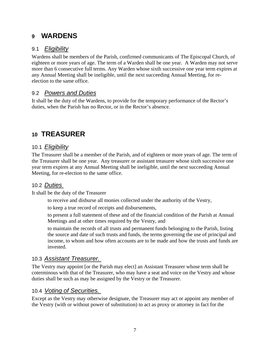### **9 WARDENS**

### 9.1 *Eligibility*

Wardens shall be members of the Parish, confirmed communicants of The Episcopal Church, of eighteen or more years of age. The term of a Warden shall be one year. A Warden may not serve more than 6 consecutive full terms. Any Warden whose sixth successive one year term expires at any Annual Meeting shall be ineligible, until the next succeeding Annual Meeting, for reelection to the same office.

### 9.2 *Powers and Duties*

It shall be the duty of the Wardens, to provide for the temporary performance of the Rector's duties, when the Parish has no Rector, or in the Rector's absence.

### **10 TREASURER**

### 10.1 *Eligibility*

The Treasurer shall be a member of the Parish, and of eighteen or more years of age. The term of the Treasurer shall be one year. Any treasurer or assistant treasurer whose sixth successive one year term expires at any Annual Meeting shall be ineligible, until the next succeeding Annual Meeting, for re-election to the same office.

### 10.2 *Duties*

It shall be the duty of the Treasurer

to receive and disburse all monies collected under the authority of the Vestry,

to keep a true record of receipts and disbursements,

to present a full statement of these and of the financial condition of the Parish at Annual Meetings and at other times required by the Vestry, and

to maintain the records of all trusts and permanent funds belonging to the Parish, listing the source and date of such trusts and funds, the terms governing the use of principal and income, to whom and how often accounts are to be made and how the trusts and funds are invested.

### 10.3 *Assistant Treasurer.*

The Vestry may appoint [or the Parish may elect] an Assistant Treasurer whose term shall be coterminous with that of the Treasurer, who may have a seat and voice on the Vestry and whose duties shall be such as may be assigned by the Vestry or the Treasurer.

### 10.4 *Voting of Securities.*

Except as the Vestry may otherwise designate, the Treasurer may act or appoint any member of the Vestry (with or without power of substitution) to act as proxy or attorney in fact for the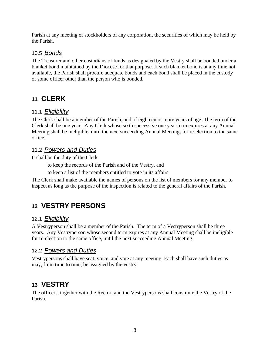Parish at any meeting of stockholders of any corporation, the securities of which may be held by the Parish.

### 10.5 *Bonds*

The Treasurer and other custodians of funds as designated by the Vestry shall be bonded under a blanket bond maintained by the Diocese for that purpose. If such blanket bond is at any time not available, the Parish shall procure adequate bonds and each bond shall be placed in the custody of some officer other than the person who is bonded.

### **11 CLERK**

### 11.1 *Eligibility*

The Clerk shall be a member of the Parish, and of eighteen or more years of age. The term of the Clerk shall be one year. Any Clerk whose sixth successive one year term expires at any Annual Meeting shall be ineligible, until the next succeeding Annual Meeting, for re-election to the same office.

### 11.2 *Powers and Duties*

It shall be the duty of the Clerk

to keep the records of the Parish and of the Vestry, and

to keep a list of the members entitled to vote in its affairs.

The Clerk shall make available the names of persons on the list of members for any member to inspect as long as the purpose of the inspection is related to the general affairs of the Parish.

## **12 VESTRY PERSONS**

### 12.1 *Eligibility*

A Vestryperson shall be a member of the Parish. The term of a Vestryperson shall be three years. Any Vestryperson whose second term expires at any Annual Meeting shall be ineligible for re-election to the same office, until the next succeeding Annual Meeting.

### 12.2 *Powers and Duties*

Vestrypersons shall have seat, voice, and vote at any meeting. Each shall have such duties as may, from time to time, be assigned by the vestry.

### **13 VESTRY**

The officers, together with the Rector, and the Vestrypersons shall constitute the Vestry of the Parish.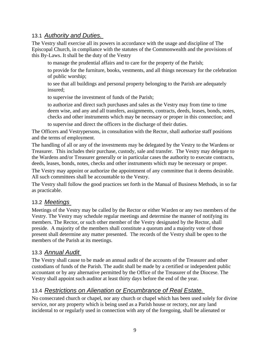#### 13.1 *Authority and Duties.*

The Vestry shall exercise all its powers in accordance with the usage and discipline of The Episcopal Church, in compliance with the statutes of the Commonwealth and the provisions of this By-Laws. It shall be the duty of the Vestry

to manage the prudential affairs and to care for the property of the Parish;

to provide for the furniture, books, vestments, and all things necessary for the celebration of public worship;

to see that all buildings and personal property belonging to the Parish are adequately insured;

to supervise the investment of funds of the Parish;

to authorize and direct such purchases and sales as the Vestry may from time to time deem wise, and any and all transfers, assignments, contracts, deeds, leases, bonds, notes, checks and other instruments which may be necessary or proper in this connection; and

to supervise and direct the officers in the discharge of their duties.

The Officers and Vestrypersons, in consultation with the Rector, shall authorize staff positions and the terms of employment.

The handling of all or any of the investments may be delegated by the Vestry to the Wardens or Treasurer. This includes their purchase, custody, sale and transfer. The Vestry may delegate to the Wardens and/or Treasurer generally or in particular cases the authority to execute contracts, deeds, leases, bonds, notes, checks and other instruments which may be necessary or proper.

The Vestry may appoint or authorize the appointment of any committee that it deems desirable. All such committees shall be accountable to the Vestry.

The Vestry shall follow the good practices set forth in the Manual of Business Methods, in so far as practicable.

### 13.2 *Meetings*

Meetings of the Vestry may be called by the Rector or either Warden or any two members of the Vestry. The Vestry may schedule regular meetings and determine the manner of notifying its members. The Rector, or such other member of the Vestry designated by the Rector, shall preside. A majority of the members shall constitute a quorum and a majority vote of those present shall determine any matter presented. The records of the Vestry shall be open to the members of the Parish at its meetings.

### 13.3 *Annual Audit*

The Vestry shall cause to be made an annual audit of the accounts of the Treasurer and other custodians of funds of the Parish. The audit shall be made by a certified or independent public accountant or by any alternative permitted by the Office of the Treasurer of the Diocese. The Vestry shall appoint such auditor at least thirty days before the end of the year.

### 13.4 *Restrictions on Alienation or Encumbrance of Real Estate.*

No consecrated church or chapel, nor any church or chapel which has been used solely for divine service, nor any property which is being used as a Parish house or rectory, nor any land incidental to or regularly used in connection with any of the foregoing, shall be alienated or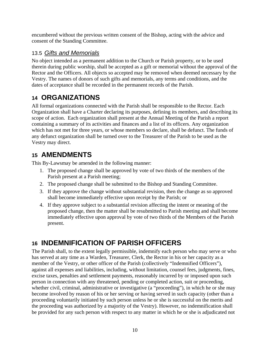encumbered without the previous written consent of the Bishop, acting with the advice and consent of the Standing Committee.

### 13.5 *Gifts and Memorials*

No object intended as a permanent addition to the Church or Parish property, or to be used therein during public worship, shall be accepted as a gift or memorial without the approval of the Rector and the Officers. All objects so accepted may be removed when deemed necessary by the Vestry. The names of donors of such gifts and memorials, any terms and conditions, and the dates of acceptance shall be recorded in the permanent records of the Parish.

# **14 ORGANIZATIONS**

All formal organizations connected with the Parish shall be responsible to the Rector. Each Organization shall have a Charter declaring its purposes, defining its members, and describing its scope of action. Each organization shall present at the Annual Meeting of the Parish a report containing a summary of its activities and finances and a list of its officers. Any organization which has not met for three years, or whose members so declare, shall be defunct. The funds of any defunct organization shall be turned over to the Treasurer of the Parish to be used as the Vestry may direct.

### **15 AMENDMENTS**

This By-Lawsmay be amended in the following manner:

- 1. The proposed change shall be approved by vote of two thirds of the members of the Parish present at a Parish meeting;
- 2. The proposed change shall be submitted to the Bishop and Standing Committee.
- 3. If they approve the change without substantial revision, then the change as so approved shall become immediately effective upon receipt by the Parish; or
- 4. If they approve subject to a substantial revision affecting the intent or meaning of the proposed change, then the matter shall be resubmitted to Parish meeting and shall become immediately effective upon approval by vote of two thirds of the Members of the Parish present.

# **16 INDEMNIFICATION OF PARISH OFFICERS**

The Parish shall, to the extent legally permissible, indemnify each person who may serve or who has served at any time as a Warden, Treasurer, Clerk, the Rector in his or her capacity as a member of the Vestry, or other officer of the Parish (collectively "Indemnified Officers"), against all expenses and liabilities, including, without limitation, counsel fees, judgments, fines, excise taxes, penalties and settlement payments, reasonably incurred by or imposed upon such person in connection with any threatened, pending or completed action, suit or proceeding, whether civil, criminal, administrative or investigative (a "proceeding"), in which he or she may become involved by reason of his or her serving or having served in such capacity (other than a proceeding voluntarily initiated by such person unless he or she is successful on the merits and the proceeding was authorized by a majority of the Vestry). However, no indemnification shall be provided for any such person with respect to any matter in which he or she is adjudicated not